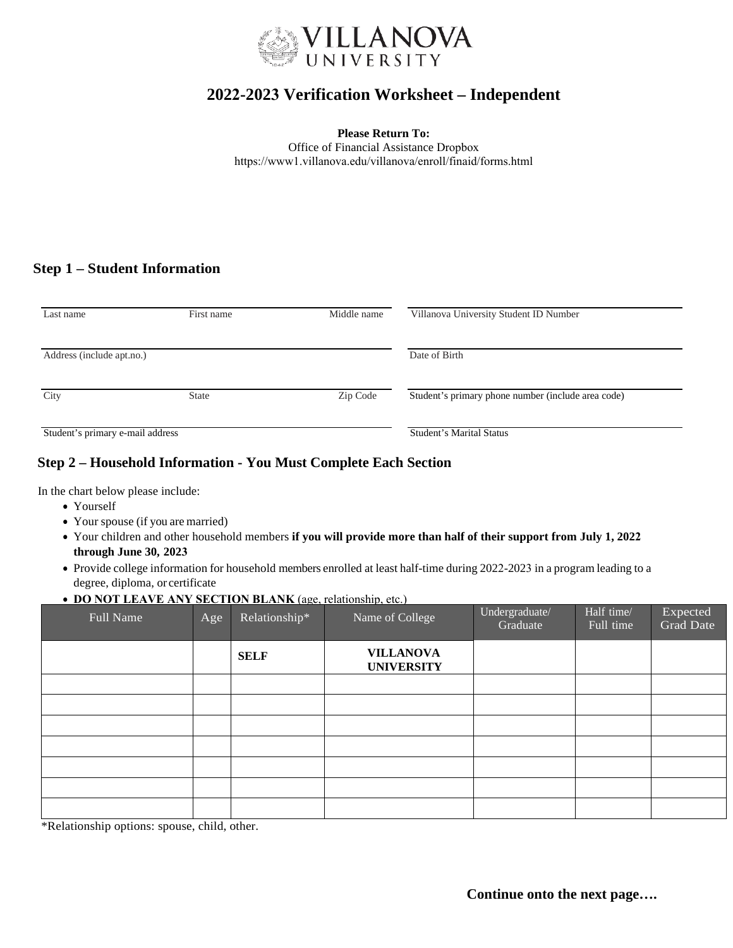

# **2022-2023 Verification Worksheet – Independent**

**Please Return To:** 

Office of Financial Assistance Dropbox <https://www1.villanova.edu/villanova/enroll/finaid/forms.html>

### **Step 1 – Student Information**

| Last name                        | First name   | Middle name | Villanova University Student ID Number             |  |  |
|----------------------------------|--------------|-------------|----------------------------------------------------|--|--|
| Address (include apt.no.)        |              |             | Date of Birth                                      |  |  |
| City                             | <b>State</b> | Zip Code    | Student's primary phone number (include area code) |  |  |
| Student's primary e-mail address |              |             | Student's Marital Status                           |  |  |

#### **Step 2 – Household Information - You Must Complete Each Section**

In the chart below please include:

- Yourself
- Your spouse (if you are married)
- Your children and other household members **if you will provide more than half of their support from July 1, 2022 through June 30, 2023**
- Provide college information for household members enrolled at least half-time during 2022-2023 in a program leading to a degree, diploma, or certificate
- **DO NOT LEAVE ANY SECTION BLANK** (age, relationship, etc.)

| Full Name | Age | Relationship* | Name of College                       | Undergraduate/<br>Graduate | Half time/<br>Full time | Expected<br><b>Grad Date</b> |
|-----------|-----|---------------|---------------------------------------|----------------------------|-------------------------|------------------------------|
|           |     | <b>SELF</b>   | <b>VILLANOVA</b><br><b>UNIVERSITY</b> |                            |                         |                              |
|           |     |               |                                       |                            |                         |                              |
|           |     |               |                                       |                            |                         |                              |
|           |     |               |                                       |                            |                         |                              |
|           |     |               |                                       |                            |                         |                              |
|           |     |               |                                       |                            |                         |                              |
|           |     |               |                                       |                            |                         |                              |
|           |     |               |                                       |                            |                         |                              |

\*Relationship options: spouse, child, other.

**Continue onto the next page….**